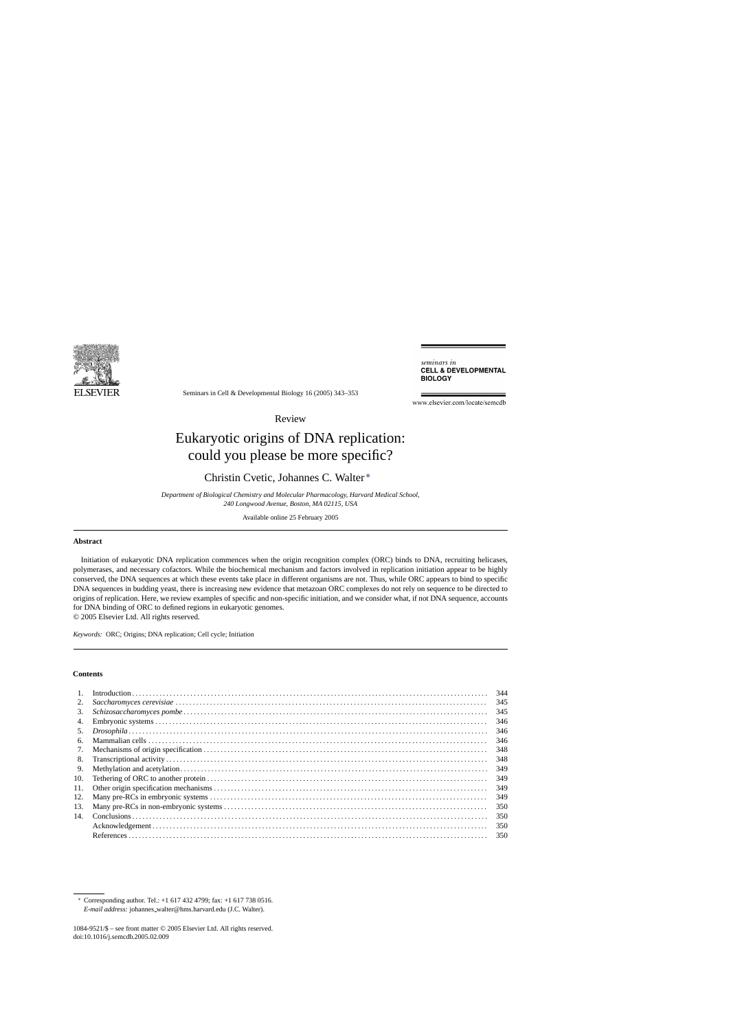

seminars in **CELL & DEVELOPMENTAL BIOLOGY** 

Seminars in Cell & Developmental Biology 16 (2005) 343–353

www.elsevier.com/locate/semedb

Review

# Eukaryotic origins of DNA replication: could you please be more specific?

# Christin Cvetic, Johannes C. Walter ∗

*Department of Biological Chemistry and Molecular Pharmacology, Harvard Medical School, 240 Longwood Avenue, Boston, MA 02115, USA*

Available online 25 February 2005

# **Abstract**

Initiation of eukaryotic DNA replication commences when the origin recognition complex (ORC) binds to DNA, recruiting helicases, polymerases, and necessary cofactors. While the biochemical mechanism and factors involved in replication initiation appear to be highly conserved, the DNA sequences at which these events take place in different organisms are not. Thus, while ORC appears to bind to specific DNA sequences in budding yeast, there is increasing new evidence that metazoan ORC complexes do not rely on sequence to be directed to origins of replication. Here, we review examples of specific and non-specific initiation, and we consider what, if not DNA sequence, accounts for DNA binding of ORC to defined regions in eukaryotic genomes.

© 2005 Elsevier Ltd. All rights reserved.

*Keywords:* ORC; Origins; DNA replication; Cell cycle; Initiation

#### **Contents**

| 1.  | 344 |
|-----|-----|
| 2.  | 345 |
| 3.  | 345 |
| 4.  | 346 |
| 5.  | 346 |
| 6.  | 346 |
| 7.  | 348 |
| 8.  | 348 |
| 9.  | 349 |
| 10. | 349 |
| 11. | 349 |
| 12. | 349 |
| 13. | 350 |
| 14. | 350 |
|     | 350 |
|     | 350 |
|     |     |

<sup>∗</sup> Corresponding author. Tel.: +1 617 432 4799; fax: +1 617 738 0516. *E-mail address:* johannes walter@hms.harvard.edu (J.C. Walter).

<sup>1084-9521/\$ –</sup> see front matter © 2005 Elsevier Ltd. All rights reserved. doi:10.1016/j.semcdb.2005.02.009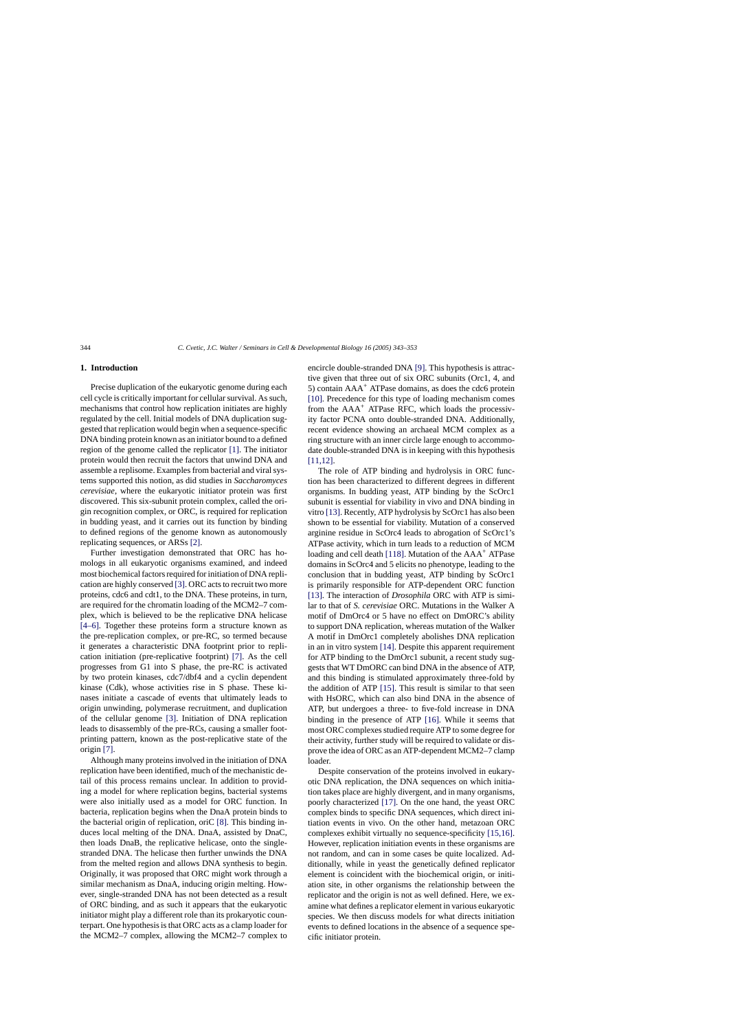# **1. Introduction**

Precise duplication of the eukaryotic genome during each cell cycle is critically important for cellular survival. As such, mechanisms that control how replication initiates are highly regulated by the cell. Initial models of DNA duplication suggested that replication would begin when a sequence-specific DNA binding protein known as an initiator bound to a defined region of the genome called the replicator [\[1\].](#page-7-0) The initiator protein would then recruit the factors that unwind DNA and assemble a replisome. Examples from bacterial and viral systems supported this notion, as did studies in *Saccharomyces cerevisiae*, where the eukaryotic initiator protein was first discovered. This six-subunit protein complex, called the origin recognition complex, or ORC, is required for replication in budding yeast, and it carries out its function by binding to defined regions of the genome known as autonomously replicating sequences, or ARSs [\[2\].](#page-7-0)

Further investigation demonstrated that ORC has homologs in all eukaryotic organisms examined, and indeed most biochemical factors required for initiation of DNA replication are highly conserved [\[3\]. O](#page-7-0)RC acts to recruit two more proteins, cdc6 and cdt1, to the DNA. These proteins, in turn, are required for the chromatin loading of the MCM2–7 complex, which is believed to be the replicative DNA helicase [\[4–6\].](#page-7-0) Together these proteins form a structure known as the pre-replication complex, or pre-RC, so termed because it generates a characteristic DNA footprint prior to replication initiation (pre-replicative footprint) [\[7\].](#page-7-0) As the cell progresses from G1 into S phase, the pre-RC is activated by two protein kinases, cdc7/dbf4 and a cyclin dependent kinase (Cdk), whose activities rise in S phase. These kinases initiate a cascade of events that ultimately leads to origin unwinding, polymerase recruitment, and duplication of the cellular genome [\[3\].](#page-7-0) Initiation of DNA replication leads to disassembly of the pre-RCs, causing a smaller footprinting pattern, known as the post-replicative state of the origin [\[7\].](#page-7-0)

Although many proteins involved in the initiation of DNA replication have been identified, much of the mechanistic detail of this process remains unclear. In addition to providing a model for where replication begins, bacterial systems were also initially used as a model for ORC function. In bacteria, replication begins when the DnaA protein binds to the bacterial origin of replication, oriC [\[8\].](#page-7-0) This binding induces local melting of the DNA. DnaA, assisted by DnaC, then loads DnaB, the replicative helicase, onto the singlestranded DNA. The helicase then further unwinds the DNA from the melted region and allows DNA synthesis to begin. Originally, it was proposed that ORC might work through a similar mechanism as DnaA, inducing origin melting. However, single-stranded DNA has not been detected as a result of ORC binding, and as such it appears that the eukaryotic initiator might play a different role than its prokaryotic counterpart. One hypothesis is that ORC acts as a clamp loader for the MCM2–7 complex, allowing the MCM2–7 complex to

encircle double-stranded DNA [\[9\]. T](#page-7-0)his hypothesis is attractive given that three out of six ORC subunits (Orc1, 4, and 5) contain  $AAA^+$  ATPase domains, as does the cdc6 protein [\[10\].](#page-7-0) Precedence for this type of loading mechanism comes from the AAA<sup>+</sup> ATPase RFC, which loads the processivity factor PCNA onto double-stranded DNA. Additionally, recent evidence showing an archaeal MCM complex as a ring structure with an inner circle large enough to accommodate double-stranded DNA is in keeping with this hypothesis [\[11,12\].](#page-7-0)

The role of ATP binding and hydrolysis in ORC function has been characterized to different degrees in different organisms. In budding yeast, ATP binding by the ScOrc1 subunit is essential for viability in vivo and DNA binding in vitro [\[13\]. R](#page-8-0)ecently, ATP hydrolysis by ScOrc1 has also been shown to be essential for viability. Mutation of a conserved arginine residue in ScOrc4 leads to abrogation of ScOrc1's ATPase activity, which in turn leads to a reduction of MCM loading and cell death [\[118\]. M](#page-10-0)utation of the AAA<sup>+</sup> ATPase domains in ScOrc4 and 5 elicits no phenotype, leading to the conclusion that in budding yeast, ATP binding by ScOrc1 is primarily responsible for ATP-dependent ORC function [\[13\].](#page-8-0) The interaction of *Drosophila* ORC with ATP is similar to that of *S. cerevisiae* ORC. Mutations in the Walker A motif of DmOrc4 or 5 have no effect on DmORC's ability to support DNA replication, whereas mutation of the Walker A motif in DmOrc1 completely abolishes DNA replication in an in vitro system [\[14\]. D](#page-8-0)espite this apparent requirement for ATP binding to the DmOrc1 subunit, a recent study suggests that WT DmORC can bind DNA in the absence of ATP, and this binding is stimulated approximately three-fold by the addition of ATP [\[15\].](#page-8-0) This result is similar to that seen with HsORC, which can also bind DNA in the absence of ATP, but undergoes a three- to five-fold increase in DNA binding in the presence of ATP [\[16\].](#page-8-0) While it seems that most ORC complexes studied require ATP to some degree for their activity, further study will be required to validate or disprove the idea of ORC as an ATP-dependent MCM2–7 clamp loader.

Despite conservation of the proteins involved in eukaryotic DNA replication, the DNA sequences on which initiation takes place are highly divergent, and in many organisms, poorly characterized [\[17\].](#page-8-0) On the one hand, the yeast ORC complex binds to specific DNA sequences, which direct initiation events in vivo. On the other hand, metazoan ORC complexes exhibit virtually no sequence-specificity [\[15,16\].](#page-8-0) However, replication initiation events in these organisms are not random, and can in some cases be quite localized. Additionally, while in yeast the genetically defined replicator element is coincident with the biochemical origin, or initiation site, in other organisms the relationship between the replicator and the origin is not as well defined. Here, we examine what defines a replicator element in various eukaryotic species. We then discuss models for what directs initiation events to defined locations in the absence of a sequence specific initiator protein.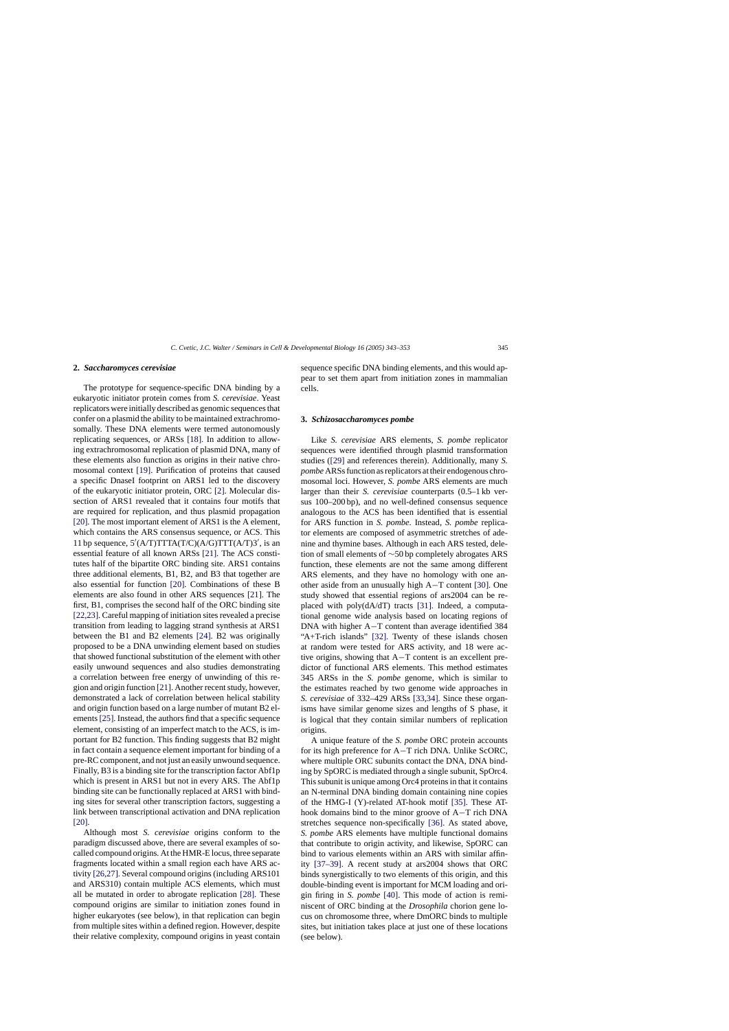#### **2.** *Saccharomyces cerevisiae*

The prototype for sequence-specific DNA binding by a eukaryotic initiator protein comes from *S. cerevisiae*. Yeast replicators were initially described as genomic sequences that confer on a plasmid the ability to be maintained extrachromosomally. These DNA elements were termed autonomously replicating sequences, or ARSs [\[18\].](#page-8-0) In addition to allowing extrachromosomal replication of plasmid DNA, many of these elements also function as origins in their native chromosomal context [\[19\].](#page-8-0) Purification of proteins that caused a specific DnaseI footprint on ARS1 led to the discovery of the eukaryotic initiator protein, ORC [\[2\].](#page-7-0) Molecular dissection of ARS1 revealed that it contains four motifs that are required for replication, and thus plasmid propagation [\[20\]. T](#page-8-0)he most important element of ARS1 is the A element, which contains the ARS consensus sequence, or ACS. This 11 bp sequence,  $5'(A/T)TTTA(T/C)(A/G)TTT(A/T)3'$ , is an essential feature of all known ARSs [\[21\].](#page-8-0) The ACS constitutes half of the bipartite ORC binding site. ARS1 contains three additional elements, B1, B2, and B3 that together are also essential for function [\[20\].](#page-8-0) Combinations of these B elements are also found in other ARS sequences [\[21\].](#page-8-0) The first, B1, comprises the second half of the ORC binding site [\[22,23\]. C](#page-8-0)areful mapping of initiation sites revealed a precise transition from leading to lagging strand synthesis at ARS1 between the B1 and B2 elements [\[24\].](#page-8-0) B2 was originally proposed to be a DNA unwinding element based on studies that showed functional substitution of the element with other easily unwound sequences and also studies demonstrating a correlation between free energy of unwinding of this region and origin function [\[21\]. A](#page-8-0)nother recent study, however, demonstrated a lack of correlation between helical stability and origin function based on a large number of mutant B2 el-ements [\[25\]. I](#page-8-0)nstead, the authors find that a specific sequence element, consisting of an imperfect match to the ACS, is important for B2 function. This finding suggests that B2 might in fact contain a sequence element important for binding of a pre-RC component, and not just an easily unwound sequence. Finally, B3 is a binding site for the transcription factor Abf1p which is present in ARS1 but not in every ARS. The Abf1p binding site can be functionally replaced at ARS1 with binding sites for several other transcription factors, suggesting a link between transcriptional activation and DNA replication [\[20\].](#page-8-0)

Although most *S. cerevisiae* origins conform to the paradigm discussed above, there are several examples of socalled compound origins. At the HMR-E locus, three separate fragments located within a small region each have ARS activity [\[26,27\]. S](#page-8-0)everal compound origins (including ARS101 and ARS310) contain multiple ACS elements, which must all be mutated in order to abrogate replication [\[28\].](#page-8-0) These compound origins are similar to initiation zones found in higher eukaryotes (see below), in that replication can begin from multiple sites within a defined region. However, despite their relative complexity, compound origins in yeast contain

sequence specific DNA binding elements, and this would appear to set them apart from initiation zones in mammalian cells.

#### **3.** *Schizosaccharomyces pombe*

Like *S. cerevisiae* ARS elements, *S. pombe* replicator sequences were identified through plasmid transformation studies ([\[29\]](#page-8-0) and references therein). Additionally, many *S. pombe* ARSs function as replicators at their endogenous chromosomal loci. However, *S. pombe* ARS elements are much larger than their *S. cerevisiae* counterparts (0.5–1 kb versus 100–200 bp), and no well-defined consensus sequence analogous to the ACS has been identified that is essential for ARS function in *S. pombe*. Instead, *S. pombe* replicator elements are composed of asymmetric stretches of adenine and thymine bases. Although in each ARS tested, deletion of small elements of ∼50 bp completely abrogates ARS function, these elements are not the same among different ARS elements, and they have no homology with one another aside from an unusually high A−T content [\[30\].](#page-8-0) One study showed that essential regions of ars2004 can be replaced with poly(dA/dT) tracts [\[31\].](#page-8-0) Indeed, a computational genome wide analysis based on locating regions of DNA with higher A−T content than average identified 384 "A+T-rich islands" [\[32\].](#page-8-0) Twenty of these islands chosen at random were tested for ARS activity, and 18 were active origins, showing that A−T content is an excellent predictor of functional ARS elements. This method estimates 345 ARSs in the *S. pombe* genome, which is similar to the estimates reached by two genome wide approaches in *S. cerevisiae* of 332–429 ARSs [\[33,34\].](#page-8-0) Since these organisms have similar genome sizes and lengths of S phase, it is logical that they contain similar numbers of replication origins.

A unique feature of the *S. pombe* ORC protein accounts for its high preference for A−T rich DNA. Unlike ScORC, where multiple ORC subunits contact the DNA, DNA binding by SpORC is mediated through a single subunit, SpOrc4. This subunit is unique among Orc4 proteins in that it contains an N-terminal DNA binding domain containing nine copies of the HMG-I (Y)-related AT-hook motif [\[35\].](#page-8-0) These AThook domains bind to the minor groove of A−T rich DNA stretches sequence non-specifically [\[36\].](#page-8-0) As stated above, *S. pombe* ARS elements have multiple functional domains that contribute to origin activity, and likewise, SpORC can bind to various elements within an ARS with similar affinity [\[37–39\].](#page-8-0) A recent study at ars2004 shows that ORC binds synergistically to two elements of this origin, and this double-binding event is important for MCM loading and origin firing in *S. pombe* [\[40\].](#page-8-0) This mode of action is reminiscent of ORC binding at the *Drosophila* chorion gene locus on chromosome three, where DmORC binds to multiple sites, but initiation takes place at just one of these locations (see below).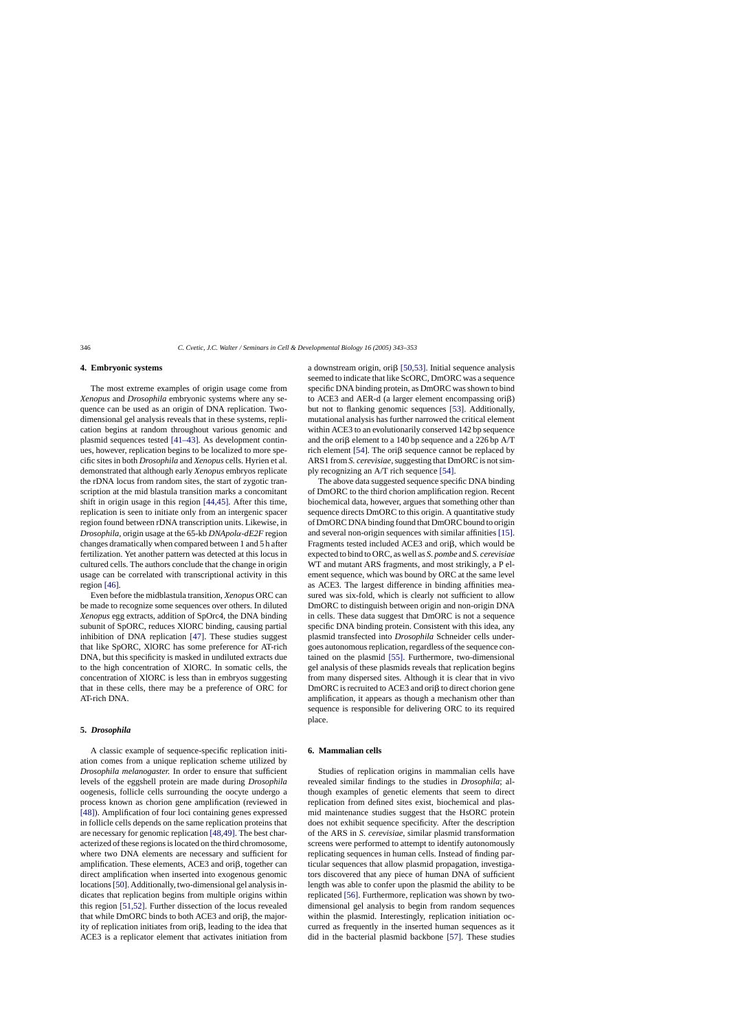# **4. Embryonic systems**

The most extreme examples of origin usage come from *Xenopus* and *Drosophila* embryonic systems where any sequence can be used as an origin of DNA replication. Twodimensional gel analysis reveals that in these systems, replication begins at random throughout various genomic and plasmid sequences tested [\[41–43\].](#page-8-0) As development continues, however, replication begins to be localized to more specific sites in both *Drosophila* and *Xenopus* cells. Hyrien et al. demonstrated that although early *Xenopus* embryos replicate the rDNA locus from random sites, the start of zygotic transcription at the mid blastula transition marks a concomitant shift in origin usage in this region [\[44,45\].](#page-8-0) After this time, replication is seen to initiate only from an intergenic spacer region found between rDNA transcription units. Likewise, in *Drosophila,* origin usage at the 65-kb *DNApol*α*-dE2F* region changes dramatically when compared between 1 and 5 h after fertilization. Yet another pattern was detected at this locus in cultured cells. The authors conclude that the change in origin usage can be correlated with transcriptional activity in this region [\[46\].](#page-8-0)

Even before the midblastula transition, *Xenopus* ORC can be made to recognize some sequences over others. In diluted *Xenopus* egg extracts, addition of SpOrc4, the DNA binding subunit of SpORC, reduces XlORC binding, causing partial inhibition of DNA replication [\[47\].](#page-8-0) These studies suggest that like SpORC, XlORC has some preference for AT-rich DNA, but this specificity is masked in undiluted extracts due to the high concentration of XlORC. In somatic cells, the concentration of XlORC is less than in embryos suggesting that in these cells, there may be a preference of ORC for AT-rich DNA.

#### **5.** *Drosophila*

A classic example of sequence-specific replication initiation comes from a unique replication scheme utilized by *Drosophila melanogaster.* In order to ensure that sufficient levels of the eggshell protein are made during *Drosophila* oogenesis, follicle cells surrounding the oocyte undergo a process known as chorion gene amplification (reviewed in [\[48\]\).](#page-8-0) Amplification of four loci containing genes expressed in follicle cells depends on the same replication proteins that are necessary for genomic replication [\[48,49\]. T](#page-8-0)he best characterized of these regions is located on the third chromosome, where two DNA elements are necessary and sufficient for amplification. These elements, ACE3 and ori $\beta$ , together can direct amplification when inserted into exogenous genomic locations[\[50\]. A](#page-8-0)dditionally, two-dimensional gel analysis indicates that replication begins from multiple origins within this region [\[51,52\].](#page-8-0) Further dissection of the locus revealed that while DmORC binds to both ACE3 and ori $\beta$ , the majority of replication initiates from ori $\beta$ , leading to the idea that ACE3 is a replicator element that activates initiation from

a downstream origin, ori $\beta$  [\[50,53\].](#page-8-0) Initial sequence analysis seemed to indicate that like ScORC, DmORC was a sequence specific DNA binding protein, as DmORC was shown to bind to ACE3 and AER-d (a larger element encompassing  $\text{ori}\beta$ ) but not to flanking genomic sequences [\[53\].](#page-8-0) Additionally, mutational analysis has further narrowed the critical element within ACE3 to an evolutionarily conserved 142 bp sequence and the ori $\beta$  element to a 140 bp sequence and a 226 bp A/T rich element [\[54\]. T](#page-8-0)he ori $\beta$  sequence cannot be replaced by ARS1 from *S. cerevisiae*, suggesting that DmORC is not simply recognizing an A/T rich sequence [\[54\].](#page-8-0)

The above data suggested sequence specific DNA binding of DmORC to the third chorion amplification region. Recent biochemical data, however, argues that something other than sequence directs DmORC to this origin. A quantitative study of DmORC DNA binding found that DmORC bound to origin and several non-origin sequences with similar affinities [\[15\].](#page-8-0) Fragments tested included ACE3 and ori $\beta$ , which would be expected to bind to ORC, as well as *S. pombe* and *S. cerevisiae* WT and mutant ARS fragments, and most strikingly, a P element sequence, which was bound by ORC at the same level as ACE3. The largest difference in binding affinities measured was six-fold, which is clearly not sufficient to allow DmORC to distinguish between origin and non-origin DNA in cells. These data suggest that DmORC is not a sequence specific DNA binding protein. Consistent with this idea, any plasmid transfected into *Drosophila* Schneider cells undergoes autonomous replication, regardless of the sequence contained on the plasmid [\[55\].](#page-8-0) Furthermore, two-dimensional gel analysis of these plasmids reveals that replication begins from many dispersed sites. Although it is clear that in vivo DmORC is recruited to ACE3 and ori $\beta$  to direct chorion gene amplification, it appears as though a mechanism other than sequence is responsible for delivering ORC to its required place.

#### **6. Mammalian cells**

Studies of replication origins in mammalian cells have revealed similar findings to the studies in *Drosophila*; although examples of genetic elements that seem to direct replication from defined sites exist, biochemical and plasmid maintenance studies suggest that the HsORC protein does not exhibit sequence specificity. After the description of the ARS in *S. cerevisiae*, similar plasmid transformation screens were performed to attempt to identify autonomously replicating sequences in human cells. Instead of finding particular sequences that allow plasmid propagation, investigators discovered that any piece of human DNA of sufficient length was able to confer upon the plasmid the ability to be replicated [\[56\]. F](#page-9-0)urthermore, replication was shown by twodimensional gel analysis to begin from random sequences within the plasmid. Interestingly, replication initiation occurred as frequently in the inserted human sequences as it did in the bacterial plasmid backbone [\[57\].](#page-9-0) These studies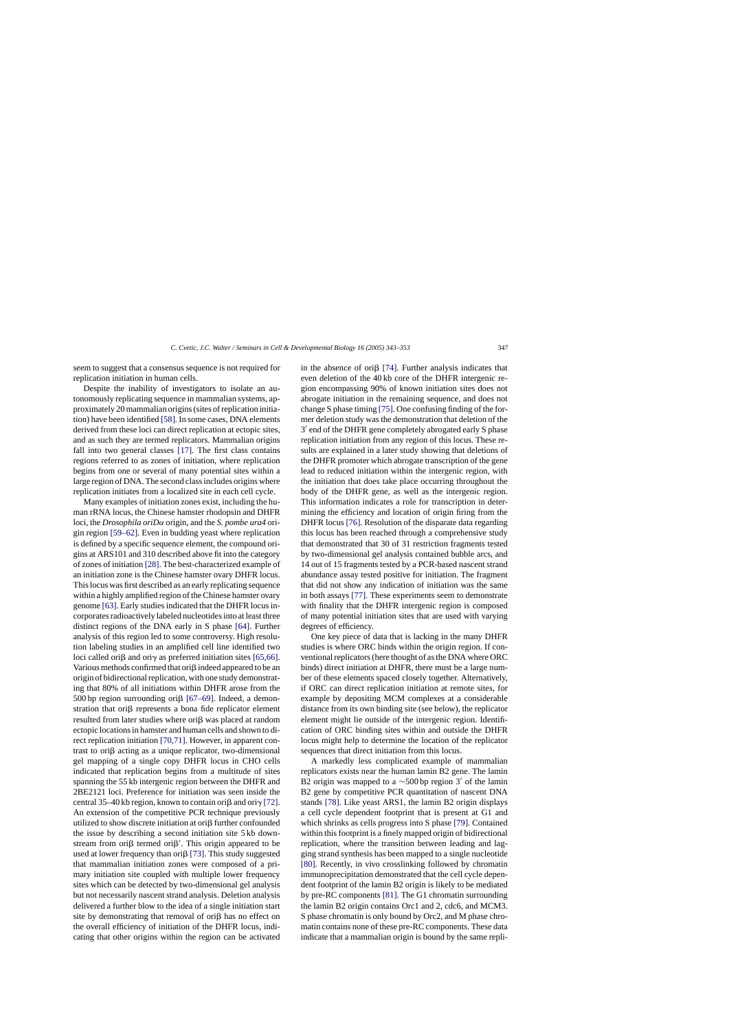seem to suggest that a consensus sequence is not required for replication initiation in human cells.

Despite the inability of investigators to isolate an autonomously replicating sequence in mammalian systems, approximately 20 mammalian origins (sites of replication initiation) have been identified [\[58\]. I](#page-9-0)n some cases, DNA elements derived from these loci can direct replication at ectopic sites, and as such they are termed replicators. Mammalian origins fall into two general classes [\[17\].](#page-8-0) The first class contains regions referred to as zones of initiation, where replication begins from one or several of many potential sites within a large region of DNA. The second class includes origins where replication initiates from a localized site in each cell cycle.

Many examples of initiation zones exist, including the human rRNA locus, the Chinese hamster rhodopsin and DHFR loci, the *Drosophila oriD*α origin, and the *S. pombe ura4* origin region [\[59–62\]. E](#page-9-0)ven in budding yeast where replication is defined by a specific sequence element, the compound origins at ARS101 and 310 described above fit into the category of zones of initiation [\[28\]. T](#page-8-0)he best-characterized example of an initiation zone is the Chinese hamster ovary DHFR locus. This locus was first described as an early replicating sequence within a highly amplified region of the Chinese hamster ovary genome [\[63\]. E](#page-9-0)arly studies indicated that the DHFR locus incorporates radioactively labeled nucleotides into at least three distinct regions of the DNA early in S phase [\[64\].](#page-9-0) Further analysis of this region led to some controversy. High resolution labeling studies in an amplified cell line identified two loci called ori $\beta$  and ori $\gamma$  as preferred initiation sites [\[65,66\].](#page-9-0) Various methods confirmed that ori $\beta$  indeed appeared to be an origin of bidirectional replication, with one study demonstrating that 80% of all initiations within DHFR arose from the 500 bp region surrounding ori $\beta$  [\[67–69\].](#page-9-0) Indeed, a demonstration that ori $\beta$  represents a bona fide replicator element resulted from later studies where  $\text{ori}\beta$  was placed at random ectopic locations in hamster and human cells and shown to direct replication initiation [\[70,71\].](#page-9-0) However, in apparent contrast to ori $\beta$  acting as a unique replicator, two-dimensional gel mapping of a single copy DHFR locus in CHO cells indicated that replication begins from a multitude of sites spanning the 55 kb intergenic region between the DHFR and 2BE2121 loci. Preference for initiation was seen inside the central 35–40 kb region, known to contain ori $\beta$  and ori $\gamma$  [\[72\].](#page-9-0) An extension of the competitive PCR technique previously utilized to show discrete initiation at ori $\beta$  further confounded the issue by describing a second initiation site 5 kb downstream from ori $\beta$  termed ori $\beta'$ . This origin appeared to be used at lower frequency than ori $\beta$  [\[73\]. T](#page-9-0)his study suggested that mammalian initiation zones were composed of a primary initiation site coupled with multiple lower frequency sites which can be detected by two-dimensional gel analysis but not necessarily nascent strand analysis. Deletion analysis delivered a further blow to the idea of a single initiation start site by demonstrating that removal of ori $\beta$  has no effect on the overall efficiency of initiation of the DHFR locus, indicating that other origins within the region can be activated in the absence of ori $\beta$  [\[74\].](#page-9-0) Further analysis indicates that even deletion of the 40 kb core of the DHFR intergenic region encompassing 90% of known initiation sites does not abrogate initiation in the remaining sequence, and does not change S phase timing [\[75\]. O](#page-9-0)ne confusing finding of the former deletion study was the demonstration that deletion of the 3' end of the DHFR gene completely abrogated early S phase replication initiation from any region of this locus. These results are explained in a later study showing that deletions of the DHFR promoter which abrogate transcription of the gene lead to reduced initiation within the intergenic region, with the initiation that does take place occurring throughout the body of the DHFR gene, as well as the intergenic region. This information indicates a role for transcription in determining the efficiency and location of origin firing from the DHFR locus [\[76\].](#page-9-0) Resolution of the disparate data regarding this locus has been reached through a comprehensive study that demonstrated that 30 of 31 restriction fragments tested by two-dimensional gel analysis contained bubble arcs, and 14 out of 15 fragments tested by a PCR-based nascent strand abundance assay tested positive for initiation. The fragment that did not show any indication of initiation was the same in both assays [\[77\]. T](#page-9-0)hese experiments seem to demonstrate with finality that the DHFR intergenic region is composed of many potential initiation sites that are used with varying degrees of efficiency.

One key piece of data that is lacking in the many DHFR studies is where ORC binds within the origin region. If conventional replicators (here thought of as the DNA where ORC binds) direct initiation at DHFR, there must be a large number of these elements spaced closely together. Alternatively, if ORC can direct replication initiation at remote sites, for example by depositing MCM complexes at a considerable distance from its own binding site (see below), the replicator element might lie outside of the intergenic region. Identification of ORC binding sites within and outside the DHFR locus might help to determine the location of the replicator sequences that direct initiation from this locus.

A markedly less complicated example of mammalian replicators exists near the human lamin B2 gene. The lamin B2 origin was mapped to a  $\sim$ 500 bp region 3' of the lamin B2 gene by competitive PCR quantitation of nascent DNA stands [\[78\].](#page-9-0) Like yeast ARS1, the lamin B2 origin displays a cell cycle dependent footprint that is present at G1 and which shrinks as cells progress into S phase [\[79\]. C](#page-9-0)ontained within this footprint is a finely mapped origin of bidirectional replication, where the transition between leading and lagging strand synthesis has been mapped to a single nucleotide [\[80\].](#page-9-0) Recently, in vivo crosslinking followed by chromatin immunoprecipitation demonstrated that the cell cycle dependent footprint of the lamin B2 origin is likely to be mediated by pre-RC components [\[81\]. T](#page-9-0)he G1 chromatin surrounding the lamin B2 origin contains Orc1 and 2, cdc6, and MCM3. S phase chromatin is only bound by Orc2, and M phase chromatin contains none of these pre-RC components. These data indicate that a mammalian origin is bound by the same repli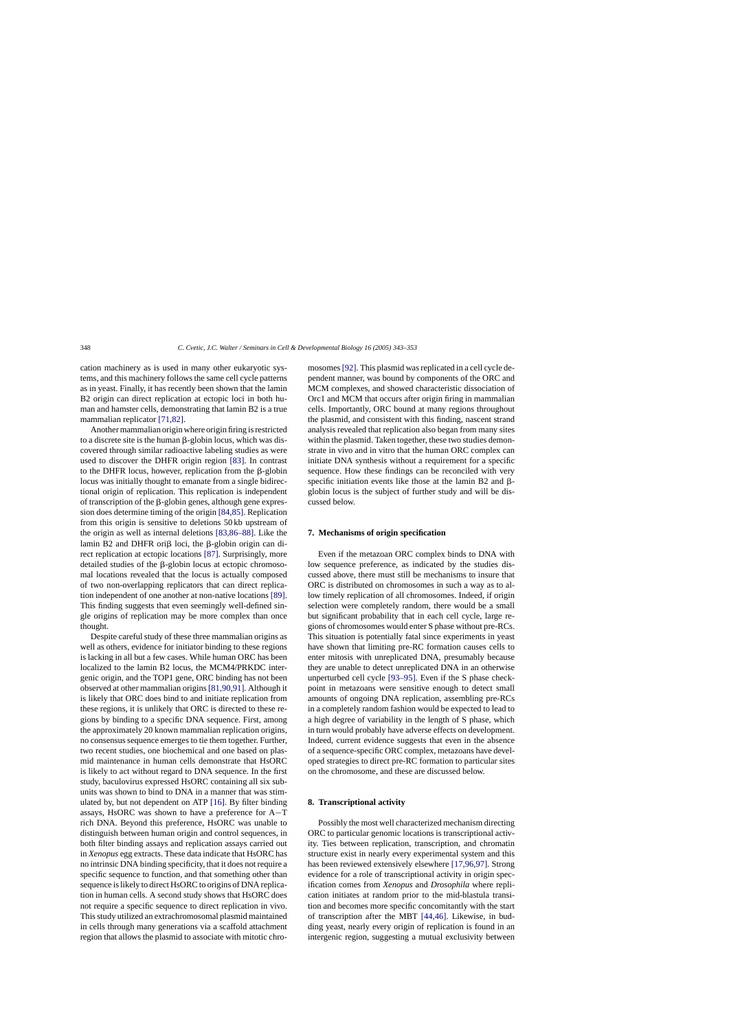cation machinery as is used in many other eukaryotic systems, and this machinery follows the same cell cycle patterns as in yeast. Finally, it has recently been shown that the lamin B2 origin can direct replication at ectopic loci in both human and hamster cells, demonstrating that lamin B2 is a true mammalian replicator [\[71,82\].](#page-9-0)

Another mammalian origin where origin firing is restricted to a discrete site is the human  $\beta$ -globin locus, which was discovered through similar radioactive labeling studies as were used to discover the DHFR origin region [\[83\].](#page-9-0) In contrast to the DHFR locus, however, replication from the  $\beta$ -globin locus was initially thought to emanate from a single bidirectional origin of replication. This replication is independent of transcription of the  $\beta$ -globin genes, although gene expression does determine timing of the origin [\[84,85\]. R](#page-9-0)eplication from this origin is sensitive to deletions 50 kb upstream of the origin as well as internal deletions [\[83,86–88\].](#page-9-0) Like the lamin B2 and DHFR ori $\beta$  loci, the  $\beta$ -globin origin can direct replication at ectopic locations [\[87\].](#page-9-0) Surprisingly, more detailed studies of the  $\beta$ -globin locus at ectopic chromosomal locations revealed that the locus is actually composed of two non-overlapping replicators that can direct replication independent of one another at non-native locations [\[89\].](#page-9-0) This finding suggests that even seemingly well-defined single origins of replication may be more complex than once thought.

Despite careful study of these three mammalian origins as well as others, evidence for initiator binding to these regions is lacking in all but a few cases. While human ORC has been localized to the lamin B2 locus, the MCM4/PRKDC intergenic origin, and the TOP1 gene, ORC binding has not been observed at other mammalian origins [\[81,90,91\]. A](#page-9-0)lthough it is likely that ORC does bind to and initiate replication from these regions, it is unlikely that ORC is directed to these regions by binding to a specific DNA sequence. First, among the approximately 20 known mammalian replication origins, no consensus sequence emerges to tie them together. Further, two recent studies, one biochemical and one based on plasmid maintenance in human cells demonstrate that HsORC is likely to act without regard to DNA sequence. In the first study, baculovirus expressed HsORC containing all six subunits was shown to bind to DNA in a manner that was stimulated by, but not dependent on ATP [\[16\].](#page-8-0) By filter binding assays, HsORC was shown to have a preference for A−T rich DNA. Beyond this preference, HsORC was unable to distinguish between human origin and control sequences, in both filter binding assays and replication assays carried out in *Xenopus* egg extracts. These data indicate that HsORC has no intrinsic DNA binding specificity, that it does not require a specific sequence to function, and that something other than sequence is likely to direct HsORC to origins of DNA replication in human cells. A second study shows that HsORC does not require a specific sequence to direct replication in vivo. This study utilized an extrachromosomal plasmid maintained in cells through many generations via a scaffold attachment region that allows the plasmid to associate with mitotic chromosomes[\[92\]. T](#page-9-0)his plasmid was replicated in a cell cycle dependent manner, was bound by components of the ORC and MCM complexes, and showed characteristic dissociation of Orc1 and MCM that occurs after origin firing in mammalian cells. Importantly, ORC bound at many regions throughout the plasmid, and consistent with this finding, nascent strand analysis revealed that replication also began from many sites within the plasmid. Taken together, these two studies demonstrate in vivo and in vitro that the human ORC complex can initiate DNA synthesis without a requirement for a specific sequence. How these findings can be reconciled with very specific initiation events like those at the lamin  $B2$  and  $\beta$ globin locus is the subject of further study and will be discussed below.

#### **7. Mechanisms of origin specification**

Even if the metazoan ORC complex binds to DNA with low sequence preference, as indicated by the studies discussed above, there must still be mechanisms to insure that ORC is distributed on chromosomes in such a way as to allow timely replication of all chromosomes. Indeed, if origin selection were completely random, there would be a small but significant probability that in each cell cycle, large regions of chromosomes would enter S phase without pre-RCs. This situation is potentially fatal since experiments in yeast have shown that limiting pre-RC formation causes cells to enter mitosis with unreplicated DNA, presumably because they are unable to detect unreplicated DNA in an otherwise unperturbed cell cycle [\[93–95\].](#page-9-0) Even if the S phase checkpoint in metazoans were sensitive enough to detect small amounts of ongoing DNA replication, assembling pre-RCs in a completely random fashion would be expected to lead to a high degree of variability in the length of S phase, which in turn would probably have adverse effects on development. Indeed, current evidence suggests that even in the absence of a sequence-specific ORC complex, metazoans have developed strategies to direct pre-RC formation to particular sites on the chromosome, and these are discussed below.

## **8. Transcriptional activity**

Possibly the most well characterized mechanism directing ORC to particular genomic locations is transcriptional activity. Ties between replication, transcription, and chromatin structure exist in nearly every experimental system and this has been reviewed extensively elsewhere [\[17,96,97\].](#page-8-0) Strong evidence for a role of transcriptional activity in origin specification comes from *Xenopus* and *Drosophila* where replication initiates at random prior to the mid-blastula transition and becomes more specific concomitantly with the start of transcription after the MBT [\[44,46\].](#page-8-0) Likewise, in budding yeast, nearly every origin of replication is found in an intergenic region, suggesting a mutual exclusivity between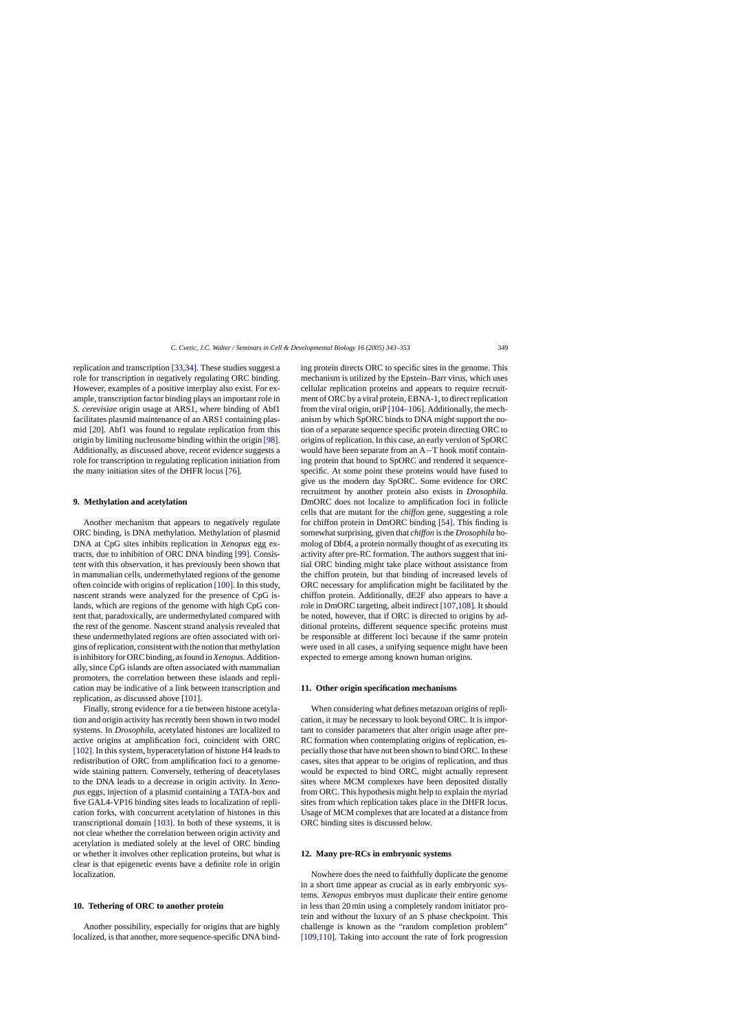replication and transcription [\[33,34\]. T](#page-8-0)hese studies suggest a role for transcription in negatively regulating ORC binding. However, examples of a positive interplay also exist. For example, transcription factor binding plays an important role in *S. cerevisiae* origin usage at ARS1, where binding of Abf1 facilitates plasmid maintenance of an ARS1 containing plasmid [\[20\].](#page-8-0) Abf1 was found to regulate replication from this origin by limiting nucleosome binding within the origin [\[98\].](#page-10-0) Additionally, as discussed above, recent evidence suggests a role for transcription in regulating replication initiation from the many initiation sites of the DHFR locus [\[76\].](#page-9-0)

#### **9. Methylation and acetylation**

Another mechanism that appears to negatively regulate ORC binding, is DNA methylation. Methylation of plasmid DNA at CpG sites inhibits replication in *Xenopus* egg extracts, due to inhibition of ORC DNA binding [\[99\].](#page-10-0) Consistent with this observation, it has previously been shown that in mammalian cells, undermethylated regions of the genome often coincide with origins of replication [\[100\]. I](#page-10-0)n this study, nascent strands were analyzed for the presence of CpG islands, which are regions of the genome with high CpG content that, paradoxically, are undermethylated compared with the rest of the genome. Nascent strand analysis revealed that these undermethylated regions are often associated with origins of replication, consistent with the notion that methylation is inhibitory for ORC binding, as found in*Xenopus*. Additionally, since CpG islands are often associated with mammalian promoters, the correlation between these islands and replication may be indicative of a link between transcription and replication, as discussed above [\[101\].](#page-10-0)

Finally, strong evidence for a tie between histone acetylation and origin activity has recently been shown in two model systems. In *Drosophila*, acetylated histones are localized to active origins at amplification foci, coincident with ORC [\[102\]. I](#page-10-0)n this system, hyperacetylation of histone H4 leads to redistribution of ORC from amplification foci to a genomewide staining pattern. Conversely, tethering of deacetylases to the DNA leads to a decrease in origin activity. In *Xenopus* eggs, injection of a plasmid containing a TATA-box and five GAL4-VP16 binding sites leads to localization of replication forks, with concurrent acetylation of histones in this transcriptional domain [\[103\].](#page-10-0) In both of these systems, it is not clear whether the correlation between origin activity and acetylation is mediated solely at the level of ORC binding or whether it involves other replication proteins, but what is clear is that epigenetic events have a definite role in origin localization.

#### **10. Tethering of ORC to another protein**

Another possibility, especially for origins that are highly localized, is that another, more sequence-specific DNA binding protein directs ORC to specific sites in the genome. This mechanism is utilized by the Epstein–Barr virus, which uses cellular replication proteins and appears to require recruitment of ORC by a viral protein, EBNA-1, to direct replication from the viral origin, oriP [\[104–106\]. A](#page-10-0)dditionally, the mechanism by which SpORC binds to DNA might support the notion of a separate sequence specific protein directing ORC to origins of replication. In this case, an early version of SpORC would have been separate from an A−T hook motif containing protein that bound to SpORC and rendered it sequencespecific. At some point these proteins would have fused to give us the modern day SpORC. Some evidence for ORC recruitment by another protein also exists in *Drosophila.* DmORC does not localize to amplification foci in follicle cells that are mutant for the *chiffon* gene, suggesting a role for chiffon protein in DmORC binding [\[54\].](#page-8-0) This finding is somewhat surprising, given that *chiffon* is the *Drosophila* homolog of Dbf4, a protein normally thought of as executing its activity after pre-RC formation. The authors suggest that initial ORC binding might take place without assistance from the chiffon protein, but that binding of increased levels of ORC necessary for amplification might be facilitated by the chiffon protein. Additionally, dE2F also appears to have a role in DmORC targeting, albeit indirect [\[107,108\]. I](#page-10-0)t should be noted, however, that if ORC is directed to origins by additional proteins, different sequence specific proteins must be responsible at different loci because if the same protein were used in all cases, a unifying sequence might have been expected to emerge among known human origins.

#### **11. Other origin specification mechanisms**

When considering what defines metazoan origins of replication, it may be necessary to look beyond ORC. It is important to consider parameters that alter origin usage after pre-RC formation when contemplating origins of replication, especially those that have not been shown to bind ORC. In these cases, sites that appear to be origins of replication, and thus would be expected to bind ORC, might actually represent sites where MCM complexes have been deposited distally from ORC. This hypothesis might help to explain the myriad sites from which replication takes place in the DHFR locus. Usage of MCM complexes that are located at a distance from ORC binding sites is discussed below.

#### **12. Many pre-RCs in embryonic systems**

Nowhere does the need to faithfully duplicate the genome in a short time appear as crucial as in early embryonic systems. *Xenopus* embryos must duplicate their entire genome in less than 20 min using a completely random initiator protein and without the luxury of an S phase checkpoint. This challenge is known as the "random completion problem" [\[109,110\].](#page-10-0) Taking into account the rate of fork progression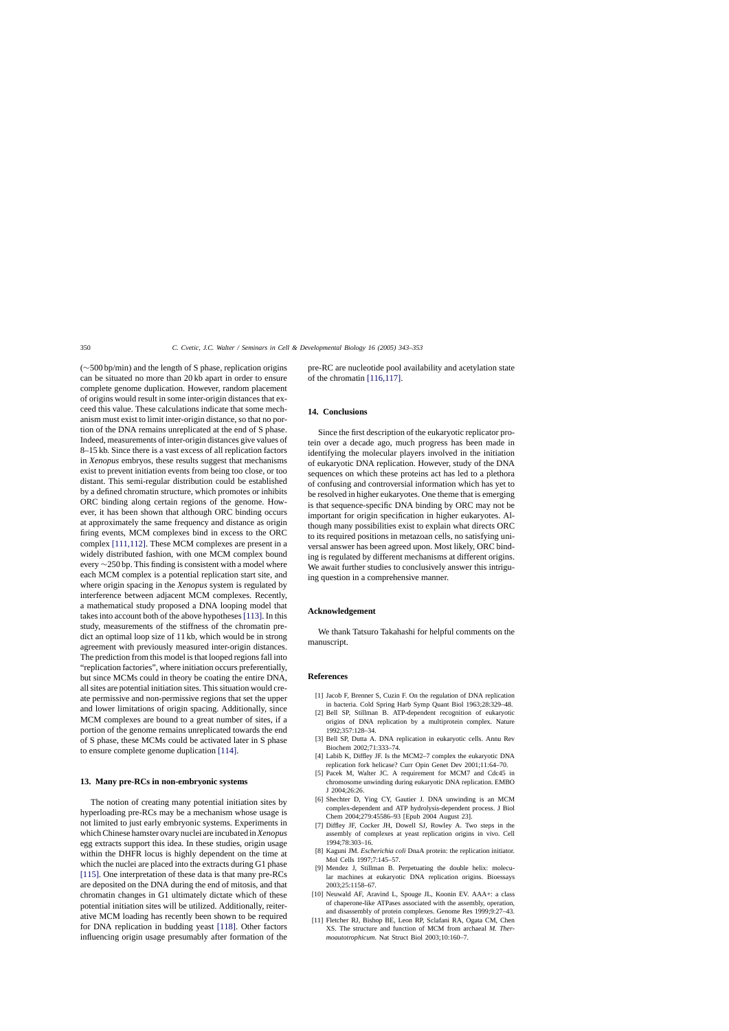<span id="page-7-0"></span>(∼500 bp/min) and the length of S phase, replication origins can be situated no more than 20 kb apart in order to ensure complete genome duplication. However, random placement of origins would result in some inter-origin distances that exceed this value. These calculations indicate that some mechanism must exist to limit inter-origin distance, so that no portion of the DNA remains unreplicated at the end of S phase. Indeed, measurements of inter-origin distances give values of 8–15 kb. Since there is a vast excess of all replication factors in *Xenopus* embryos, these results suggest that mechanisms exist to prevent initiation events from being too close, or too distant. This semi-regular distribution could be established by a defined chromatin structure, which promotes or inhibits ORC binding along certain regions of the genome. However, it has been shown that although ORC binding occurs at approximately the same frequency and distance as origin firing events, MCM complexes bind in excess to the ORC complex [\[111,112\].](#page-10-0) These MCM complexes are present in a widely distributed fashion, with one MCM complex bound every ∼250 bp. This finding is consistent with a model where each MCM complex is a potential replication start site, and where origin spacing in the *Xenopus* system is regulated by interference between adjacent MCM complexes. Recently, a mathematical study proposed a DNA looping model that takes into account both of the above hypotheses[\[113\]. I](#page-10-0)n this study, measurements of the stiffness of the chromatin predict an optimal loop size of 11 kb, which would be in strong agreement with previously measured inter-origin distances. The prediction from this model is that looped regions fall into "replication factories", where initiation occurs preferentially, but since MCMs could in theory be coating the entire DNA, all sites are potential initiation sites. This situation would create permissive and non-permissive regions that set the upper and lower limitations of origin spacing. Additionally, since MCM complexes are bound to a great number of sites, if a portion of the genome remains unreplicated towards the end of S phase, these MCMs could be activated later in S phase to ensure complete genome duplication [\[114\].](#page-10-0)

## **13. Many pre-RCs in non-embryonic systems**

The notion of creating many potential initiation sites by hyperloading pre-RCs may be a mechanism whose usage is not limited to just early embryonic systems. Experiments in which Chinese hamster ovary nuclei are incubated in*Xenopus* egg extracts support this idea. In these studies, origin usage within the DHFR locus is highly dependent on the time at which the nuclei are placed into the extracts during G1 phase [\[115\].](#page-10-0) One interpretation of these data is that many pre-RCs are deposited on the DNA during the end of mitosis, and that chromatin changes in G1 ultimately dictate which of these potential initiation sites will be utilized. Additionally, reiterative MCM loading has recently been shown to be required for DNA replication in budding yeast [\[118\].](#page-10-0) Other factors influencing origin usage presumably after formation of the

pre-RC are nucleotide pool availability and acetylation state of the chromatin [\[116,117\].](#page-10-0)

#### **14. Conclusions**

Since the first description of the eukaryotic replicator protein over a decade ago, much progress has been made in identifying the molecular players involved in the initiation of eukaryotic DNA replication. However, study of the DNA sequences on which these proteins act has led to a plethora of confusing and controversial information which has yet to be resolved in higher eukaryotes. One theme that is emerging is that sequence-specific DNA binding by ORC may not be important for origin specification in higher eukaryotes. Although many possibilities exist to explain what directs ORC to its required positions in metazoan cells, no satisfying universal answer has been agreed upon. Most likely, ORC binding is regulated by different mechanisms at different origins. We await further studies to conclusively answer this intriguing question in a comprehensive manner.

## **Acknowledgement**

We thank Tatsuro Takahashi for helpful comments on the manuscript.

#### **References**

- [1] Jacob F, Brenner S, Cuzin F. On the regulation of DNA replication in bacteria. Cold Spring Harb Symp Quant Biol 1963;28:329–48.
- [2] Bell SP, Stillman B. ATP-dependent recognition of eukaryotic origins of DNA replication by a multiprotein complex. Nature 1992;357:128–34.
- [3] Bell SP, Dutta A. DNA replication in eukaryotic cells. Annu Rev Biochem 2002;71:333–74.
- [4] Labib K, Diffley JF. Is the MCM2–7 complex the eukaryotic DNA replication fork helicase? Curr Opin Genet Dev 2001;11:64–70.
- [5] Pacek M, Walter JC. A requirement for MCM7 and Cdc45 in chromosome unwinding during eukaryotic DNA replication. EMBO J 2004;26:26.
- [6] Shechter D, Ying CY, Gautier J. DNA unwinding is an MCM complex-dependent and ATP hydrolysis-dependent process. J Biol Chem 2004;279:45586–93 [Epub 2004 August 23].
- [7] Diffley JF, Cocker JH, Dowell SJ, Rowley A. Two steps in the assembly of complexes at yeast replication origins in vivo. Cell 1994;78:303–16.
- [8] Kaguni JM. *Escherichia coli* DnaA protein: the replication initiator. Mol Cells 1997;7:145–57.
- [9] Mendez J, Stillman B. Perpetuating the double helix: molecular machines at eukaryotic DNA replication origins. Bioessays 2003;25:1158–67.
- [10] Neuwald AF, Aravind L, Spouge JL, Koonin EV. AAA+: a class of chaperone-like ATPases associated with the assembly, operation, and disassembly of protein complexes. Genome Res 1999;9:27–43.
- [11] Fletcher RJ, Bishop BE, Leon RP, Sclafani RA, Ogata CM, Chen XS. The structure and function of MCM from archaeal *M. Thermoautotrophicum*. Nat Struct Biol 2003;10:160–7.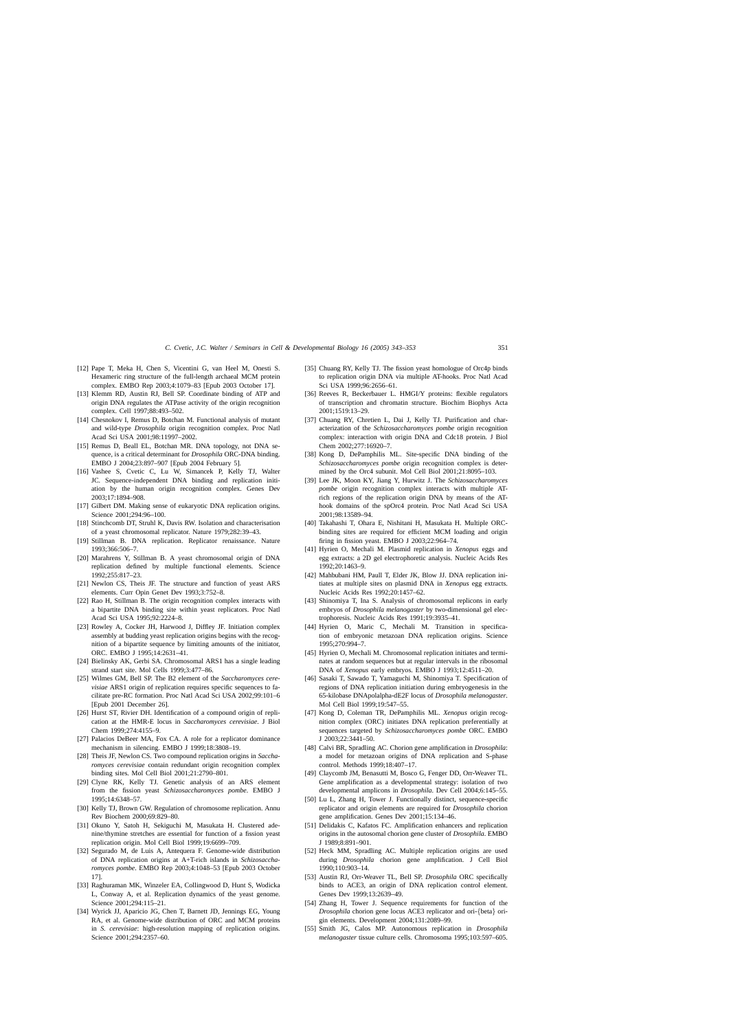- <span id="page-8-0"></span>[12] Pape T, Meka H, Chen S, Vicentini G, van Heel M, Onesti S. Hexameric ring structure of the full-length archaeal MCM protein complex. EMBO Rep 2003;4:1079–83 [Epub 2003 October 17].
- [13] Klemm RD, Austin RJ, Bell SP. Coordinate binding of ATP and origin DNA regulates the ATPase activity of the origin recognition complex. Cell 1997;88:493–502.
- [14] Chesnokov I, Remus D, Botchan M. Functional analysis of mutant and wild-type *Drosophila* origin recognition complex. Proc Natl Acad Sci USA 2001;98:11997–2002.
- [15] Remus D, Beall EL, Botchan MR. DNA topology, not DNA sequence, is a critical determinant for *Drosophila* ORC-DNA binding. EMBO J 2004;23:897–907 [Epub 2004 February 5].
- [16] Vashee S, Cvetic C, Lu W, Simancek P, Kelly TJ, Walter JC. Sequence-independent DNA binding and replication initiation by the human origin recognition complex. Genes Dev 2003;17:1894–908.
- [17] Gilbert DM. Making sense of eukaryotic DNA replication origins. Science 2001;294:96–100.
- [18] Stinchcomb DT, Struhl K, Davis RW. Isolation and characterisation of a yeast chromosomal replicator. Nature 1979;282:39–43.
- [19] Stillman B. DNA replication. Replicator renaissance. Nature 1993;366:506–7.
- [20] Marahrens Y, Stillman B. A yeast chromosomal origin of DNA replication defined by multiple functional elements. Science 1992;255:817–23.
- [21] Newlon CS, Theis JF. The structure and function of yeast ARS elements. Curr Opin Genet Dev 1993;3:752–8.
- [22] Rao H, Stillman B. The origin recognition complex interacts with a bipartite DNA binding site within yeast replicators. Proc Natl Acad Sci USA 1995;92:2224–8.
- [23] Rowley A, Cocker JH, Harwood J, Diffley JF. Initiation complex assembly at budding yeast replication origins begins with the recognition of a bipartite sequence by limiting amounts of the initiator, ORC. EMBO J 1995;14:2631–41.
- [24] Bielinsky AK, Gerbi SA. Chromosomal ARS1 has a single leading strand start site. Mol Cells 1999;3:477–86.
- [25] Wilmes GM, Bell SP. The B2 element of the *Saccharomyces cerevisiae* ARS1 origin of replication requires specific sequences to facilitate pre-RC formation. Proc Natl Acad Sci USA 2002;99:101–6 [Epub 2001 December 26].
- [26] Hurst ST, Rivier DH. Identification of a compound origin of replication at the HMR-E locus in *Saccharomyces cerevisiae*. J Biol Chem 1999;274:4155–9.
- [27] Palacios DeBeer MA, Fox CA. A role for a replicator dominance mechanism in silencing. EMBO J 1999;18:3808–19.
- [28] Theis JF, Newlon CS. Two compound replication origins in *Saccharomyces cerevisiae* contain redundant origin recognition complex binding sites. Mol Cell Biol 2001;21:2790–801.
- [29] Clyne RK, Kelly TJ. Genetic analysis of an ARS element from the fission yeast *Schizosaccharomyces pombe*. EMBO J 1995;14:6348–57.
- [30] Kelly TJ, Brown GW. Regulation of chromosome replication. Annu Rev Biochem 2000;69:829–80.
- [31] Okuno Y, Satoh H, Sekiguchi M, Masukata H. Clustered adenine/thymine stretches are essential for function of a fission yeast replication origin. Mol Cell Biol 1999;19:6699–709.
- [32] Segurado M, de Luis A, Antequera F. Genome-wide distribution of DNA replication origins at A+T-rich islands in *Schizosaccharomyces pombe*. EMBO Rep 2003;4:1048–53 [Epub 2003 October 17].
- [33] Raghuraman MK, Winzeler EA, Collingwood D, Hunt S, Wodicka L, Conway A, et al. Replication dynamics of the yeast genome. Science 2001;294:115–21.
- [34] Wyrick JJ, Aparicio JG, Chen T, Barnett JD, Jennings EG, Young RA, et al. Genome-wide distribution of ORC and MCM proteins in *S. cerevisiae*: high-resolution mapping of replication origins. Science 2001;294:2357–60.
- [35] Chuang RY, Kelly TJ. The fission yeast homologue of Orc4p binds to replication origin DNA via multiple AT-hooks. Proc Natl Acad Sci USA 1999;96:2656–61.
- [36] Reeves R, Beckerbauer L, HMGI/Y proteins: flexible regulators of transcription and chromatin structure. Biochim Biophys Acta 2001;1519:13–29.
- [37] Chuang RY, Chretien L, Dai J, Kelly TJ. Purification and characterization of the *Schizosaccharomyces pombe* origin recognition complex: interaction with origin DNA and Cdc18 protein. J Biol Chem 2002;277:16920–7.
- [38] Kong D, DePamphilis ML. Site-specific DNA binding of the *Schizosaccharomyces pombe* origin recognition complex is determined by the Orc4 subunit. Mol Cell Biol 2001;21:8095–103.
- [39] Lee JK, Moon KY, Jiang Y, Hurwitz J. The *Schizosaccharomyces pombe* origin recognition complex interacts with multiple ATrich regions of the replication origin DNA by means of the AThook domains of the spOrc4 protein. Proc Natl Acad Sci USA 2001;98:13589–94.
- [40] Takahashi T, Ohara E, Nishitani H, Masukata H. Multiple ORCbinding sites are required for efficient MCM loading and origin firing in fission yeast. EMBO J 2003;22:964–74.
- [41] Hyrien O, Mechali M. Plasmid replication in *Xenopus* eggs and egg extracts: a 2D gel electrophoretic analysis. Nucleic Acids Res 1992;20:1463–9.
- [42] Mahbubani HM, Paull T, Elder JK, Blow JJ. DNA replication initiates at multiple sites on plasmid DNA in *Xenopus* egg extracts. Nucleic Acids Res 1992;20:1457–62.
- [43] Shinomiya T, Ina S. Analysis of chromosomal replicons in early embryos of *Drosophila melanogaster* by two-dimensional gel electrophoresis. Nucleic Acids Res 1991;19:3935–41.
- [44] Hyrien O, Maric C, Mechali M. Transition in specification of embryonic metazoan DNA replication origins. Science 1995;270:994–7.
- [45] Hyrien O, Mechali M. Chromosomal replication initiates and terminates at random sequences but at regular intervals in the ribosomal DNA of *Xenopus* early embryos. EMBO J 1993;12:4511–20.
- [46] Sasaki T, Sawado T, Yamaguchi M, Shinomiya T. Specification of regions of DNA replication initiation during embryogenesis in the 65-kilobase DNApolalpha-dE2F locus of *Drosophila melanogaster*. Mol Cell Biol 1999;19:547–55.
- [47] Kong D, Coleman TR, DePamphilis ML. *Xenopus* origin recognition complex (ORC) initiates DNA replication preferentially at sequences targeted by *Schizosaccharomyces pombe* ORC. EMBO J 2003;22:3441–50.
- [48] Calvi BR, Spradling AC. Chorion gene amplification in *Drosophila*: a model for metazoan origins of DNA replication and S-phase control. Methods 1999;18:407–17.
- [49] Claycomb JM, Benasutti M, Bosco G, Fenger DD, Orr-Weaver TL. Gene amplification as a developmental strategy: isolation of two developmental amplicons in *Drosophila*. Dev Cell 2004;6:145–55.
- [50] Lu L, Zhang H, Tower J. Functionally distinct, sequence-specific replicator and origin elements are required for *Drosophila* chorion gene amplification. Genes Dev 2001;15:134–46.
- [51] Delidakis C, Kafatos FC. Amplification enhancers and replication origins in the autosomal chorion gene cluster of *Drosophila*. EMBO J 1989;8:891–901.
- [52] Heck MM, Spradling AC. Multiple replication origins are used during *Drosophila* chorion gene amplification. J Cell Biol 1990;110:903–14.
- [53] Austin RJ, Orr-Weaver TL, Bell SP. *Drosophila* ORC specifically binds to ACE3, an origin of DNA replication control element. Genes Dev 1999;13:2639–49.
- [54] Zhang H, Tower J. Sequence requirements for function of the *Drosophila* chorion gene locus ACE3 replicator and ori-{beta} origin elements. Development 2004;131:2089–99.
- [55] Smith JG, Calos MP. Autonomous replication in *Drosophila melanogaster* tissue culture cells. Chromosoma 1995;103:597–605.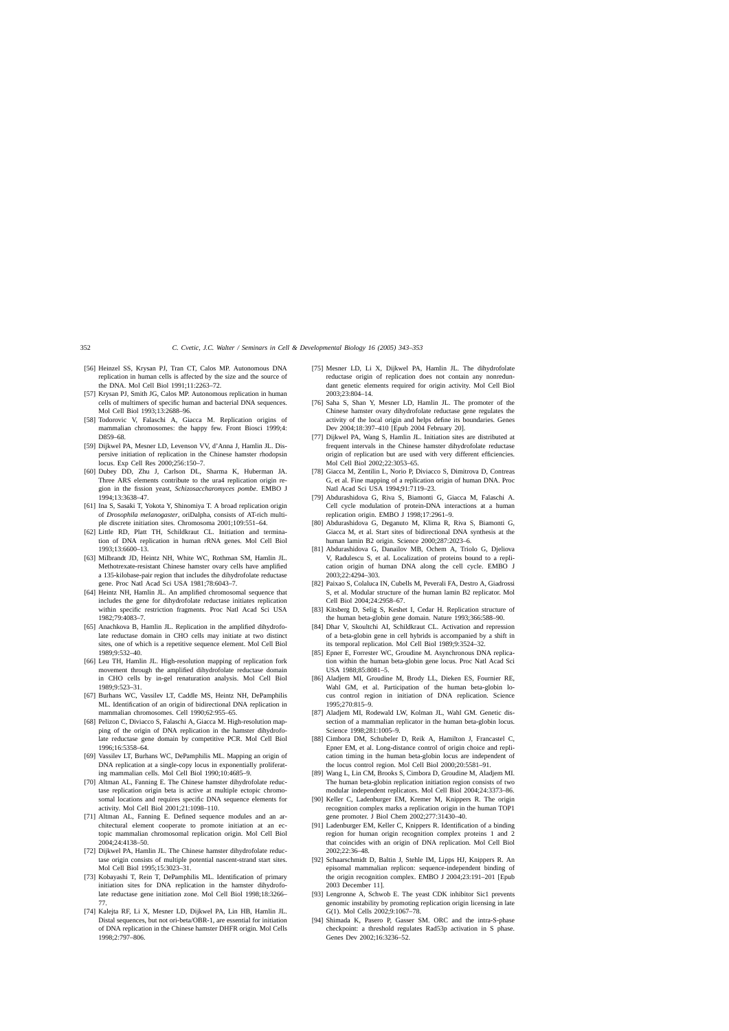- <span id="page-9-0"></span>[56] Heinzel SS, Krysan PJ, Tran CT, Calos MP. Autonomous DNA replication in human cells is affected by the size and the source of the DNA. Mol Cell Biol 1991;11:2263–72.
- [57] Krysan PJ, Smith JG, Calos MP. Autonomous replication in human cells of multimers of specific human and bacterial DNA sequences. Mol Cell Biol 1993;13:2688–96.
- [58] Todorovic V, Falaschi A, Giacca M. Replication origins of mammalian chromosomes: the happy few. Front Biosci 1999;4: D859–68.
- [59] Dijkwel PA, Mesner LD, Levenson VV, d'Anna J, Hamlin JL. Dispersive initiation of replication in the Chinese hamster rhodopsin locus. Exp Cell Res 2000;256:150–7.
- [60] Dubey DD, Zhu J, Carlson DL, Sharma K, Huberman JA. Three ARS elements contribute to the ura4 replication origin region in the fission yeast, *Schizosaccharomyces pombe*. EMBO J 1994;13:3638–47.
- [61] Ina S, Sasaki T, Yokota Y, Shinomiya T. A broad replication origin of *Drosophila melanogaster*, oriDalpha, consists of AT-rich multiple discrete initiation sites. Chromosoma 2001;109:551–64.
- [62] Little RD, Platt TH, Schildkraut CL. Initiation and termination of DNA replication in human rRNA genes. Mol Cell Biol 1993;13:6600–13.
- [63] Milbrandt JD, Heintz NH, White WC, Rothman SM, Hamlin JL. Methotrexate-resistant Chinese hamster ovary cells have amplified a 135-kilobase-pair region that includes the dihydrofolate reductase gene. Proc Natl Acad Sci USA 1981;78:6043–7.
- [64] Heintz NH, Hamlin JL. An amplified chromosomal sequence that includes the gene for dihydrofolate reductase initiates replication within specific restriction fragments. Proc Natl Acad Sci USA 1982;79:4083–7.
- [65] Anachkova B, Hamlin JL. Replication in the amplified dihydrofolate reductase domain in CHO cells may initiate at two distinct sites, one of which is a repetitive sequence element. Mol Cell Biol 1989;9:532–40.
- [66] Leu TH, Hamlin JL. High-resolution mapping of replication fork movement through the amplified dihydrofolate reductase domain in CHO cells by in-gel renaturation analysis. Mol Cell Biol 1989;9:523–31.
- [67] Burhans WC, Vassilev LT, Caddle MS, Heintz NH, DePamphilis ML. Identification of an origin of bidirectional DNA replication in mammalian chromosomes. Cell 1990;62:955–65.
- [68] Pelizon C, Diviacco S, Falaschi A, Giacca M. High-resolution mapping of the origin of DNA replication in the hamster dihydrofolate reductase gene domain by competitive PCR. Mol Cell Biol 1996;16:5358–64.
- [69] Vassilev LT, Burhans WC, DePamphilis ML. Mapping an origin of DNA replication at a single-copy locus in exponentially proliferating mammalian cells. Mol Cell Biol 1990;10:4685–9.
- [70] Altman AL, Fanning E. The Chinese hamster dihydrofolate reductase replication origin beta is active at multiple ectopic chromosomal locations and requires specific DNA sequence elements for activity. Mol Cell Biol 2001;21:1098–110.
- [71] Altman AL, Fanning E. Defined sequence modules and an architectural element cooperate to promote initiation at an ectopic mammalian chromosomal replication origin. Mol Cell Biol 2004;24:4138–50.
- [72] Dijkwel PA, Hamlin JL. The Chinese hamster dihydrofolate reductase origin consists of multiple potential nascent-strand start sites. Mol Cell Biol 1995;15:3023–31.
- [73] Kobayashi T, Rein T, DePamphilis ML. Identification of primary initiation sites for DNA replication in the hamster dihydrofolate reductase gene initiation zone. Mol Cell Biol 1998;18:3266– 77.
- [74] Kalejta RF, Li X, Mesner LD, Dijkwel PA, Lin HB, Hamlin JL. Distal sequences, but not ori-beta/OBR-1, are essential for initiation of DNA replication in the Chinese hamster DHFR origin. Mol Cells 1998;2:797–806.
- [75] Mesner LD, Li X, Dijkwel PA, Hamlin JL. The dihydrofolate reductase origin of replication does not contain any nonredundant genetic elements required for origin activity. Mol Cell Biol 2003;23:804–14.
- [76] Saha S, Shan Y, Mesner LD, Hamlin JL. The promoter of the Chinese hamster ovary dihydrofolate reductase gene regulates the activity of the local origin and helps define its boundaries. Genes Dev 2004;18:397–410 [Epub 2004 February 20].
- [77] Dijkwel PA, Wang S, Hamlin JL. Initiation sites are distributed at frequent intervals in the Chinese hamster dihydrofolate reductase origin of replication but are used with very different efficiencies. Mol Cell Biol 2002;22:3053–65.
- [78] Giacca M, Zentilin L, Norio P, Diviacco S, Dimitrova D, Contreas G, et al. Fine mapping of a replication origin of human DNA. Proc Natl Acad Sci USA 1994;91:7119–23.
- [79] Abdurashidova G, Riva S, Biamonti G, Giacca M, Falaschi A. Cell cycle modulation of protein-DNA interactions at a human replication origin. EMBO J 1998;17:2961–9.
- [80] Abdurashidova G, Deganuto M, Klima R, Riva S, Biamonti G, Giacca M, et al. Start sites of bidirectional DNA synthesis at the human lamin B2 origin. Science 2000;287:2023–6.
- [81] Abdurashidova G, Danailov MB, Ochem A, Triolo G, Djeliova V, Radulescu S, et al. Localization of proteins bound to a replication origin of human DNA along the cell cycle. EMBO J 2003;22:4294–303.
- [82] Paixao S, Colaluca IN, Cubells M, Peverali FA, Destro A, Giadrossi S, et al. Modular structure of the human lamin B2 replicator. Mol Cell Biol 2004;24:2958–67.
- [83] Kitsberg D, Selig S, Keshet I, Cedar H, Replication structure of the human beta-globin gene domain. Nature 1993;366:588–90.
- [84] Dhar V, Skoultchi AI, Schildkraut CL. Activation and repression of a beta-globin gene in cell hybrids is accompanied by a shift in its temporal replication. Mol Cell Biol 1989;9:3524–32.
- [85] Epner E, Forrester WC, Groudine M. Asynchronous DNA replication within the human beta-globin gene locus. Proc Natl Acad Sci USA 1988;85:8081–5.
- [86] Aladjem MI, Groudine M, Brody LL, Dieken ES, Fournier RE, Wahl GM, et al. Participation of the human beta-globin locus control region in initiation of DNA replication. Science 1995;270:815–9.
- [87] Aladjem MI, Rodewald LW, Kolman JL, Wahl GM. Genetic dissection of a mammalian replicator in the human beta-globin locus. Science 1998;281:1005–9.
- [88] Cimbora DM, Schubeler D, Reik A, Hamilton J, Francastel C, Epner EM, et al. Long-distance control of origin choice and replication timing in the human beta-globin locus are independent of the locus control region. Mol Cell Biol 2000;20:5581–91.
- [89] Wang L, Lin CM, Brooks S, Cimbora D, Groudine M, Aladjem MI. The human beta-globin replication initiation region consists of two modular independent replicators. Mol Cell Biol 2004;24:3373–86.
- [90] Keller C, Ladenburger EM, Kremer M, Knippers R. The origin recognition complex marks a replication origin in the human TOP1 gene promoter. J Biol Chem 2002;277:31430–40.
- [91] Ladenburger EM, Keller C, Knippers R. Identification of a binding region for human origin recognition complex proteins 1 and 2 that coincides with an origin of DNA replication. Mol Cell Biol 2002;22:36–48.
- [92] Schaarschmidt D, Baltin J, Stehle IM, Lipps HJ, Knippers R. An episomal mammalian replicon: sequence-independent binding of the origin recognition complex. EMBO J 2004;23:191–201 [Epub 2003 December 11].
- [93] Lengronne A, Schwob E. The yeast CDK inhibitor Sic1 prevents genomic instability by promoting replication origin licensing in late G(1). Mol Cells 2002;9:1067–78.
- [94] Shimada K, Pasero P, Gasser SM. ORC and the intra-S-phase checkpoint: a threshold regulates Rad53p activation in S phase. Genes Dev 2002;16:3236–52.